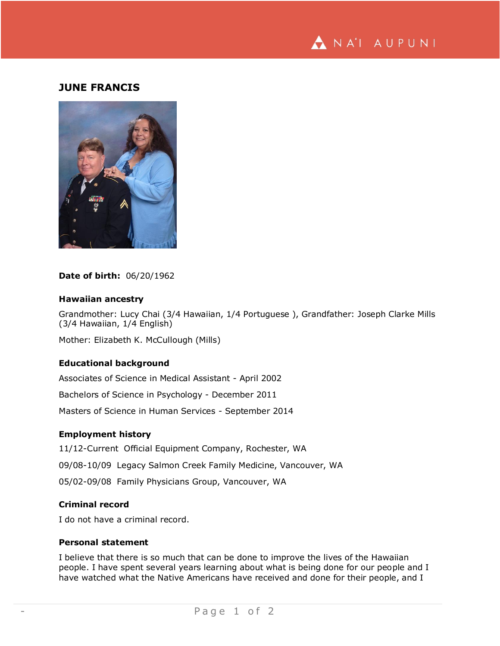

# **JUNE FRANCIS**



**Date of birth:** 06/20/1962

#### **Hawaiian ancestry**

Grandmother: Lucy Chai (3/4 Hawaiian, 1/4 Portuguese ), Grandfather: Joseph Clarke Mills (3/4 Hawaiian, 1/4 English)

Mother: Elizabeth K. McCullough (Mills)

# **Educational background**

Associates of Science in Medical Assistant - April 2002

Bachelors of Science in Psychology - December 2011

Masters of Science in Human Services - September 2014

### **Employment history**

11/12-Current Official Equipment Company, Rochester, WA 09/08-10/09 Legacy Salmon Creek Family Medicine, Vancouver, WA 05/02-09/08 Family Physicians Group, Vancouver, WA

# **Criminal record**

I do not have a criminal record.

### **Personal statement**

I believe that there is so much that can be done to improve the lives of the Hawaiian people. I have spent several years learning about what is being done for our people and I have watched what the Native Americans have received and done for their people, and I